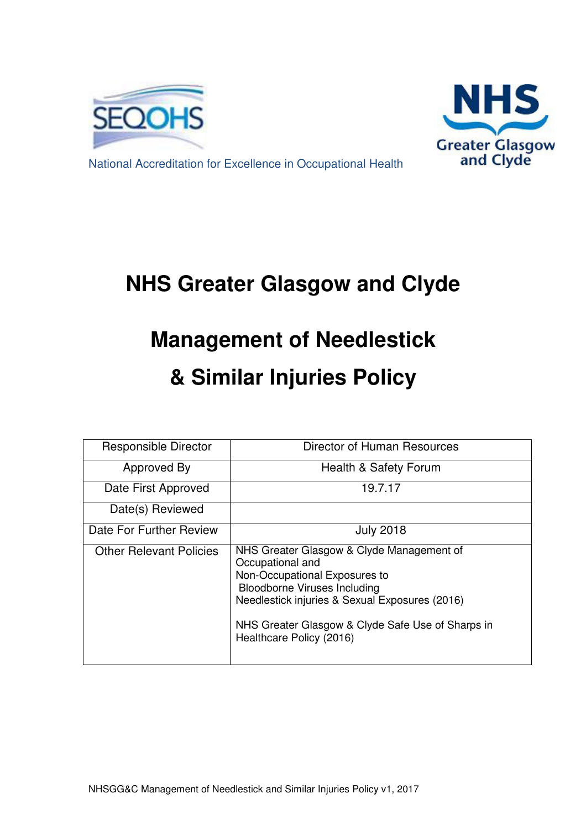



National Accreditation for Excellence in Occupational Health

# **NHS Greater Glasgow and Clyde**

# **Management of Needlestick & Similar Injuries Policy**

| <b>Responsible Director</b>    | Director of Human Resources                                                                                                                                                                                                                                              |
|--------------------------------|--------------------------------------------------------------------------------------------------------------------------------------------------------------------------------------------------------------------------------------------------------------------------|
| Approved By                    | Health & Safety Forum                                                                                                                                                                                                                                                    |
| Date First Approved            | 19.7.17                                                                                                                                                                                                                                                                  |
| Date(s) Reviewed               |                                                                                                                                                                                                                                                                          |
| Date For Further Review        | <b>July 2018</b>                                                                                                                                                                                                                                                         |
| <b>Other Relevant Policies</b> | NHS Greater Glasgow & Clyde Management of<br>Occupational and<br>Non-Occupational Exposures to<br><b>Bloodborne Viruses Including</b><br>Needlestick injuries & Sexual Exposures (2016)<br>NHS Greater Glasgow & Clyde Safe Use of Sharps in<br>Healthcare Policy (2016) |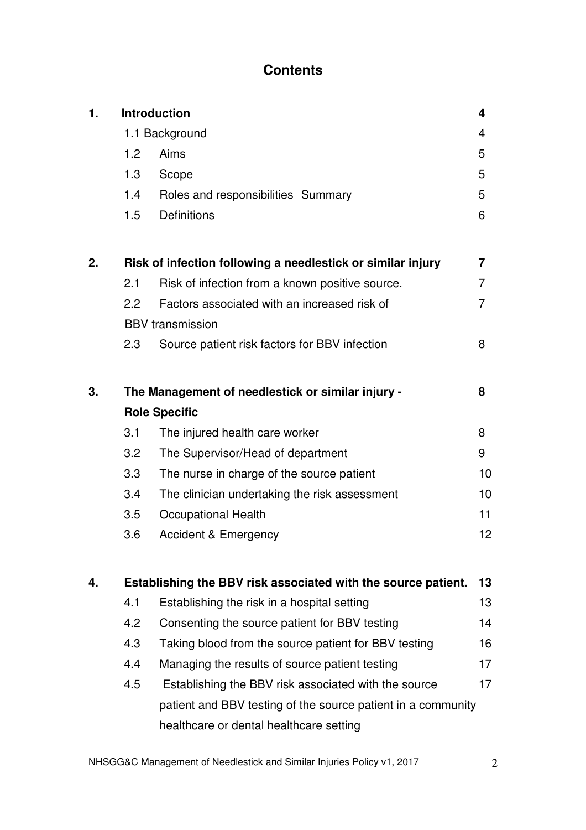# **Contents**

| 1. |                                                   | <b>Introduction</b>                                           | 4               |  |  |  |
|----|---------------------------------------------------|---------------------------------------------------------------|-----------------|--|--|--|
|    | 1.1 Background                                    |                                                               |                 |  |  |  |
|    | 1.2                                               | Aims                                                          | 5               |  |  |  |
|    | 1.3                                               | Scope                                                         | 5               |  |  |  |
|    | 1.4                                               | Roles and responsibilities Summary                            | 5               |  |  |  |
|    | 1.5                                               | <b>Definitions</b>                                            | 6               |  |  |  |
| 2. |                                                   | Risk of infection following a needlestick or similar injury   | 7               |  |  |  |
|    | 2.1                                               | Risk of infection from a known positive source.               | 7               |  |  |  |
|    | 2.2                                               | Factors associated with an increased risk of                  | 7               |  |  |  |
|    |                                                   | <b>BBV</b> transmission                                       |                 |  |  |  |
|    | 2.3                                               | Source patient risk factors for BBV infection                 | 8               |  |  |  |
| 3. | The Management of needlestick or similar injury - |                                                               |                 |  |  |  |
|    |                                                   | <b>Role Specific</b>                                          |                 |  |  |  |
|    | 3.1                                               | The injured health care worker                                | 8               |  |  |  |
|    | 3.2                                               | The Supervisor/Head of department                             | 9               |  |  |  |
|    | 3.3                                               | The nurse in charge of the source patient                     | 10              |  |  |  |
|    | 3.4                                               | The clinician undertaking the risk assessment                 | 10              |  |  |  |
|    | 3.5                                               | <b>Occupational Health</b>                                    | 11              |  |  |  |
|    | 3.6                                               | <b>Accident &amp; Emergency</b>                               | 12 <sub>2</sub> |  |  |  |
| 4. |                                                   | Establishing the BBV risk associated with the source patient. | 13              |  |  |  |
|    | 4.1                                               | Establishing the risk in a hospital setting                   | 13              |  |  |  |
|    | 4.2                                               | Consenting the source patient for BBV testing                 | 14              |  |  |  |
|    | 4.3                                               | Taking blood from the source patient for BBV testing          | 16              |  |  |  |
|    | 4.4                                               | Managing the results of source patient testing                | 17              |  |  |  |
|    | 4.5                                               | Establishing the BBV risk associated with the source          | 17              |  |  |  |
|    |                                                   | patient and BBV testing of the source patient in a community  |                 |  |  |  |
|    |                                                   | healthcare or dental healthcare setting                       |                 |  |  |  |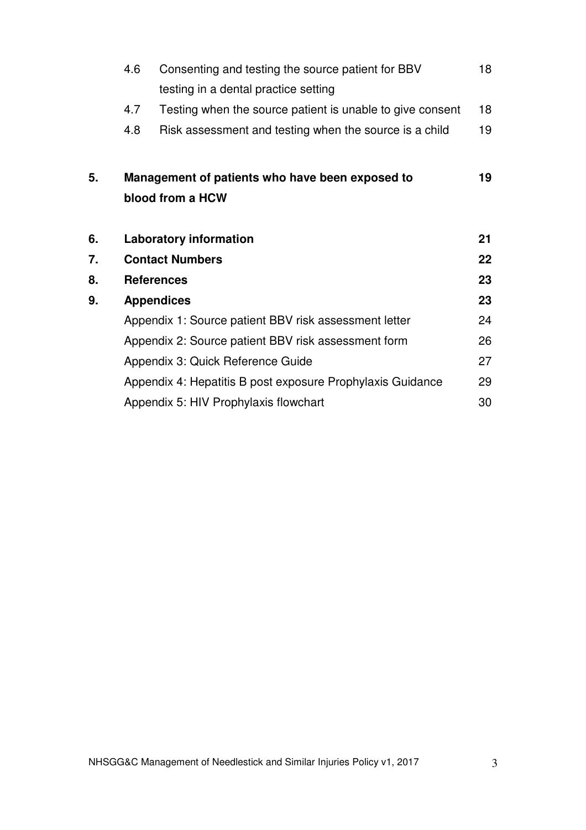|    | Consenting and testing the source patient for BBV<br>4.6 |                                                            |    |  |  |
|----|----------------------------------------------------------|------------------------------------------------------------|----|--|--|
|    |                                                          | testing in a dental practice setting                       |    |  |  |
|    | 4.7                                                      | Testing when the source patient is unable to give consent  | 18 |  |  |
|    | 4.8                                                      | Risk assessment and testing when the source is a child     | 19 |  |  |
| 5. |                                                          | Management of patients who have been exposed to            | 19 |  |  |
|    |                                                          | blood from a HCW                                           |    |  |  |
| 6. |                                                          | <b>Laboratory information</b>                              | 21 |  |  |
| 7. |                                                          | <b>Contact Numbers</b>                                     | 22 |  |  |
| 8. |                                                          | <b>References</b>                                          | 23 |  |  |
| 9. |                                                          | <b>Appendices</b>                                          | 23 |  |  |
|    |                                                          | Appendix 1: Source patient BBV risk assessment letter      | 24 |  |  |
|    |                                                          | Appendix 2: Source patient BBV risk assessment form        | 26 |  |  |
|    |                                                          | Appendix 3: Quick Reference Guide                          | 27 |  |  |
|    |                                                          | Appendix 4: Hepatitis B post exposure Prophylaxis Guidance | 29 |  |  |
|    |                                                          | Appendix 5: HIV Prophylaxis flowchart                      | 30 |  |  |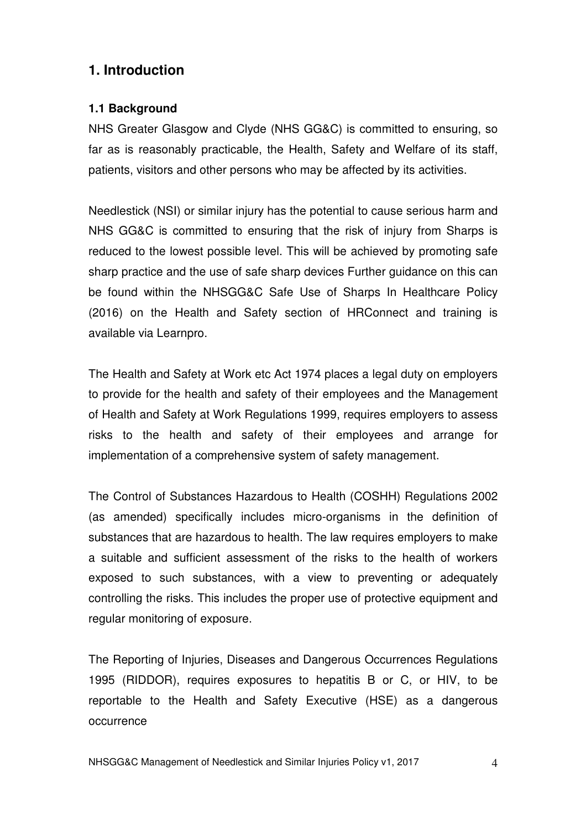# **1. Introduction**

## **1.1 Background**

NHS Greater Glasgow and Clyde (NHS GG&C) is committed to ensuring, so far as is reasonably practicable, the Health, Safety and Welfare of its staff, patients, visitors and other persons who may be affected by its activities.

Needlestick (NSI) or similar injury has the potential to cause serious harm and NHS GG&C is committed to ensuring that the risk of injury from Sharps is reduced to the lowest possible level. This will be achieved by promoting safe sharp practice and the use of safe sharp devices Further guidance on this can be found within the NHSGG&C Safe Use of Sharps In Healthcare Policy (2016) on the Health and Safety section of HRConnect and training is available via Learnpro.

The Health and Safety at Work etc Act 1974 places a legal duty on employers to provide for the health and safety of their employees and the Management of Health and Safety at Work Regulations 1999, requires employers to assess risks to the health and safety of their employees and arrange for implementation of a comprehensive system of safety management.

The Control of Substances Hazardous to Health (COSHH) Regulations 2002 (as amended) specifically includes micro-organisms in the definition of substances that are hazardous to health. The law requires employers to make a suitable and sufficient assessment of the risks to the health of workers exposed to such substances, with a view to preventing or adequately controlling the risks. This includes the proper use of protective equipment and regular monitoring of exposure.

The Reporting of Injuries, Diseases and Dangerous Occurrences Regulations 1995 (RIDDOR), requires exposures to hepatitis B or C, or HIV, to be reportable to the Health and Safety Executive (HSE) as a dangerous occurrence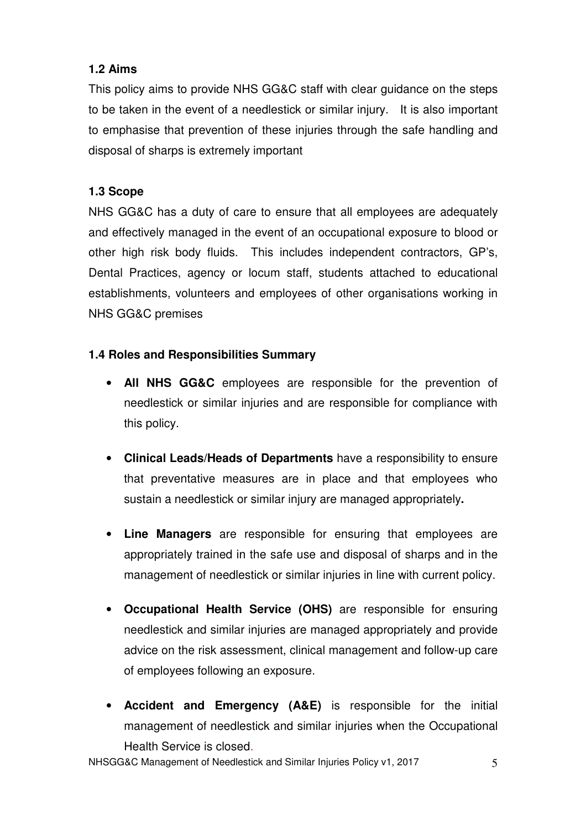# **1.2 Aims**

This policy aims to provide NHS GG&C staff with clear guidance on the steps to be taken in the event of a needlestick or similar injury. It is also important to emphasise that prevention of these injuries through the safe handling and disposal of sharps is extremely important

## **1.3 Scope**

NHS GG&C has a duty of care to ensure that all employees are adequately and effectively managed in the event of an occupational exposure to blood or other high risk body fluids. This includes independent contractors, GP's, Dental Practices, agency or locum staff, students attached to educational establishments, volunteers and employees of other organisations working in NHS GG&C premises

# **1.4 Roles and Responsibilities Summary**

- **All NHS GG&C** employees are responsible for the prevention of needlestick or similar injuries and are responsible for compliance with this policy.
- **Clinical Leads/Heads of Departments** have a responsibility to ensure that preventative measures are in place and that employees who sustain a needlestick or similar injury are managed appropriately**.**
- **Line Managers** are responsible for ensuring that employees are appropriately trained in the safe use and disposal of sharps and in the management of needlestick or similar injuries in line with current policy.
- **Occupational Health Service (OHS)** are responsible for ensuring needlestick and similar injuries are managed appropriately and provide advice on the risk assessment, clinical management and follow-up care of employees following an exposure.
- **Accident and Emergency (A&E)** is responsible for the initial management of needlestick and similar injuries when the Occupational Health Service is closed.

NHSGG&C Management of Needlestick and Similar Injuries Policy v1, 2017 5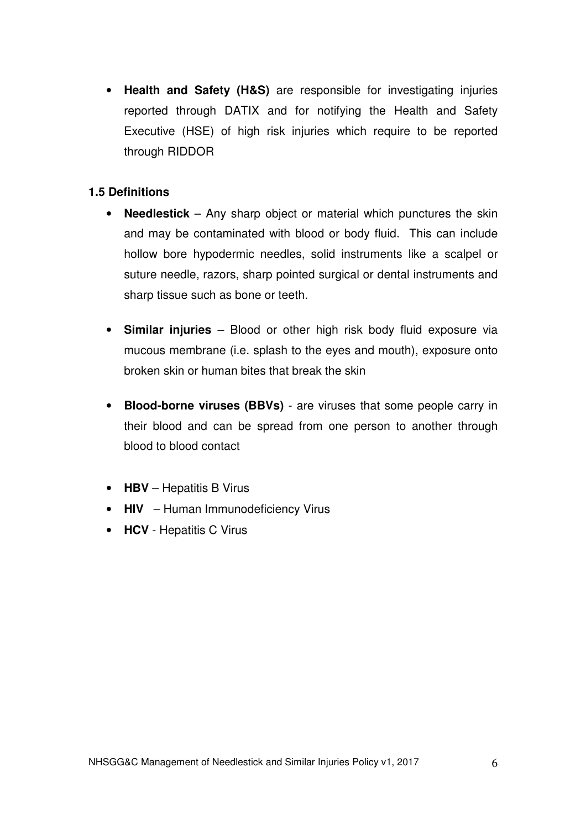• **Health and Safety (H&S)** are responsible for investigating injuries reported through DATIX and for notifying the Health and Safety Executive (HSE) of high risk injuries which require to be reported through RIDDOR

#### **1.5 Definitions**

- **Needlestick** Any sharp object or material which punctures the skin and may be contaminated with blood or body fluid. This can include hollow bore hypodermic needles, solid instruments like a scalpel or suture needle, razors, sharp pointed surgical or dental instruments and sharp tissue such as bone or teeth.
- **Similar injuries** Blood or other high risk body fluid exposure via mucous membrane (i.e. splash to the eyes and mouth), exposure onto broken skin or human bites that break the skin
- **Blood-borne viruses (BBVs)** are viruses that some people carry in their blood and can be spread from one person to another through blood to blood contact
- **HBV** Hepatitis B Virus
- **HIV** Human Immunodeficiency Virus
- **HCV** Hepatitis C Virus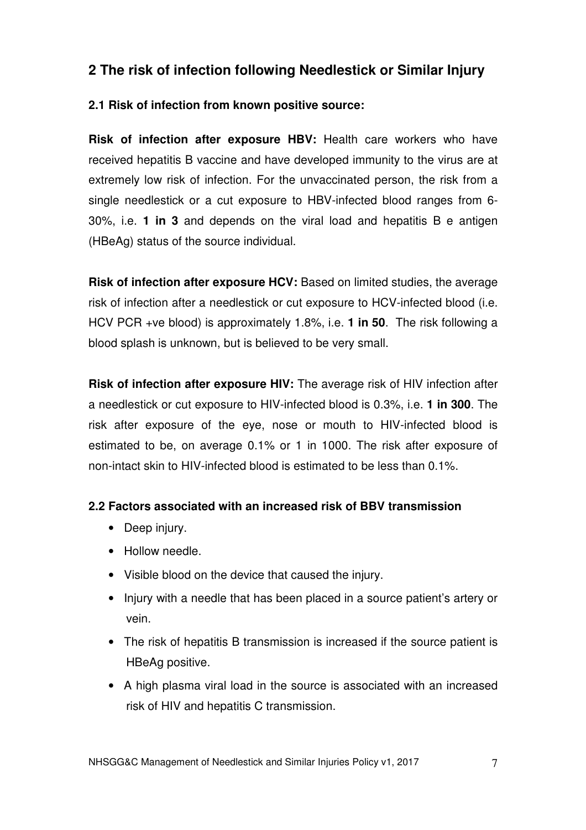# **2 The risk of infection following Needlestick or Similar Injury**

### **2.1 Risk of infection from known positive source:**

**Risk of infection after exposure HBV:** Health care workers who have received hepatitis B vaccine and have developed immunity to the virus are at extremely low risk of infection. For the unvaccinated person, the risk from a single needlestick or a cut exposure to HBV-infected blood ranges from 6- 30%, i.e. **1 in 3** and depends on the viral load and hepatitis B e antigen (HBeAg) status of the source individual.

**Risk of infection after exposure HCV:** Based on limited studies, the average risk of infection after a needlestick or cut exposure to HCV-infected blood (i.e. HCV PCR +ve blood) is approximately 1.8%, i.e. **1 in 50**. The risk following a blood splash is unknown, but is believed to be very small.

**Risk of infection after exposure HIV:** The average risk of HIV infection after a needlestick or cut exposure to HIV-infected blood is 0.3%, i.e. **1 in 300**. The risk after exposure of the eye, nose or mouth to HIV-infected blood is estimated to be, on average 0.1% or 1 in 1000. The risk after exposure of non-intact skin to HIV-infected blood is estimated to be less than 0.1%.

#### **2.2 Factors associated with an increased risk of BBV transmission**

- Deep injury.
- Hollow needle.
- Visible blood on the device that caused the injury.
- Injury with a needle that has been placed in a source patient's artery or vein.
- The risk of hepatitis B transmission is increased if the source patient is HBeAg positive.
- A high plasma viral load in the source is associated with an increased risk of HIV and hepatitis C transmission.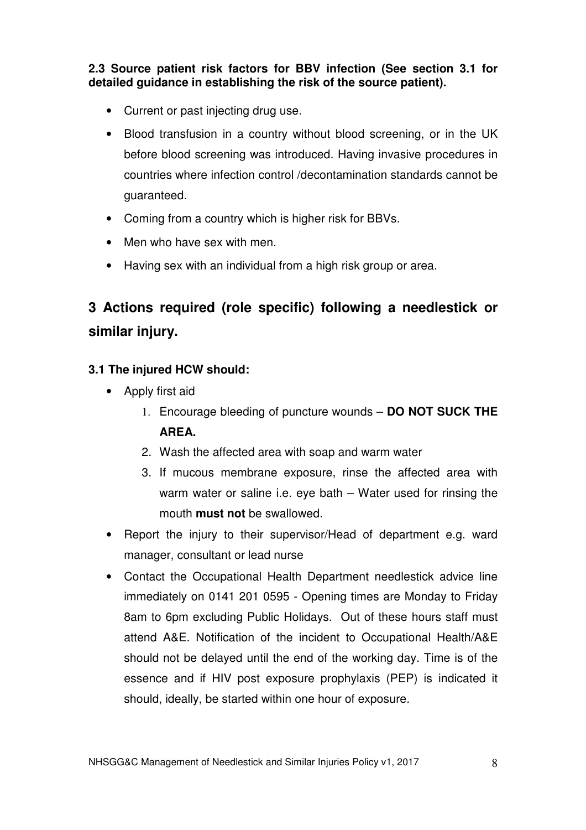**2.3 Source patient risk factors for BBV infection (See section 3.1 for detailed guidance in establishing the risk of the source patient).** 

- Current or past injecting drug use.
- Blood transfusion in a country without blood screening, or in the UK before blood screening was introduced. Having invasive procedures in countries where infection control /decontamination standards cannot be guaranteed.
- Coming from a country which is higher risk for BBVs.
- Men who have sex with men.
- Having sex with an individual from a high risk group or area.

# **3 Actions required (role specific) following a needlestick or similar injury.**

## **3.1 The injured HCW should:**

- Apply first aid
	- 1. Encourage bleeding of puncture wounds **DO NOT SUCK THE AREA.**
	- 2. Wash the affected area with soap and warm water
	- 3. If mucous membrane exposure, rinse the affected area with warm water or saline i.e. eye bath – Water used for rinsing the mouth **must not** be swallowed.
- Report the injury to their supervisor/Head of department e.g. ward manager, consultant or lead nurse
- Contact the Occupational Health Department needlestick advice line immediately on 0141 201 0595 - Opening times are Monday to Friday 8am to 6pm excluding Public Holidays. Out of these hours staff must attend A&E. Notification of the incident to Occupational Health/A&E should not be delayed until the end of the working day. Time is of the essence and if HIV post exposure prophylaxis (PEP) is indicated it should, ideally, be started within one hour of exposure.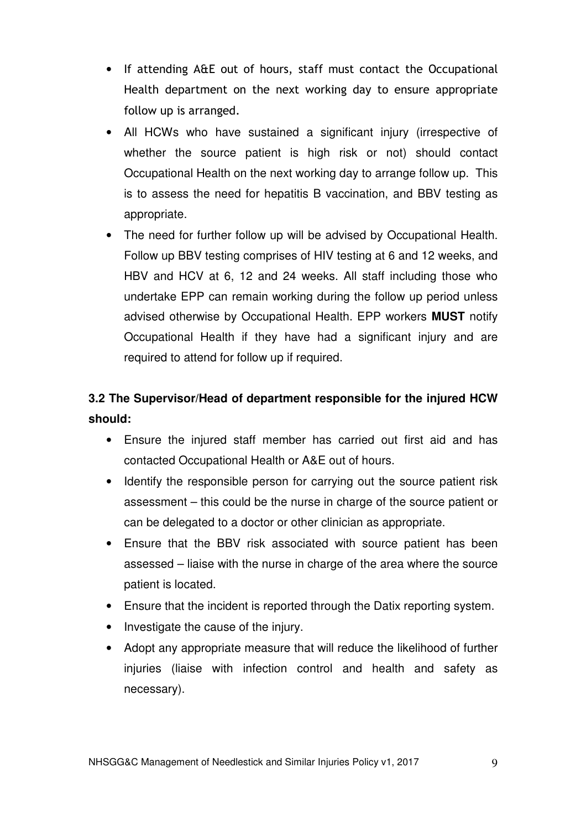- If attending A&E out of hours, staff must contact the Occupational Health department on the next working day to ensure appropriate follow up is arranged.
- All HCWs who have sustained a significant injury (irrespective of whether the source patient is high risk or not) should contact Occupational Health on the next working day to arrange follow up. This is to assess the need for hepatitis B vaccination, and BBV testing as appropriate.
- The need for further follow up will be advised by Occupational Health. Follow up BBV testing comprises of HIV testing at 6 and 12 weeks, and HBV and HCV at 6, 12 and 24 weeks. All staff including those who undertake EPP can remain working during the follow up period unless advised otherwise by Occupational Health. EPP workers **MUST** notify Occupational Health if they have had a significant injury and are required to attend for follow up if required.

# **3.2 The Supervisor/Head of department responsible for the injured HCW should:**

- Ensure the injured staff member has carried out first aid and has contacted Occupational Health or A&E out of hours.
- Identify the responsible person for carrying out the source patient risk assessment – this could be the nurse in charge of the source patient or can be delegated to a doctor or other clinician as appropriate.
- Ensure that the BBV risk associated with source patient has been assessed – liaise with the nurse in charge of the area where the source patient is located.
- Ensure that the incident is reported through the Datix reporting system.
- Investigate the cause of the injury.
- Adopt any appropriate measure that will reduce the likelihood of further injuries (liaise with infection control and health and safety as necessary).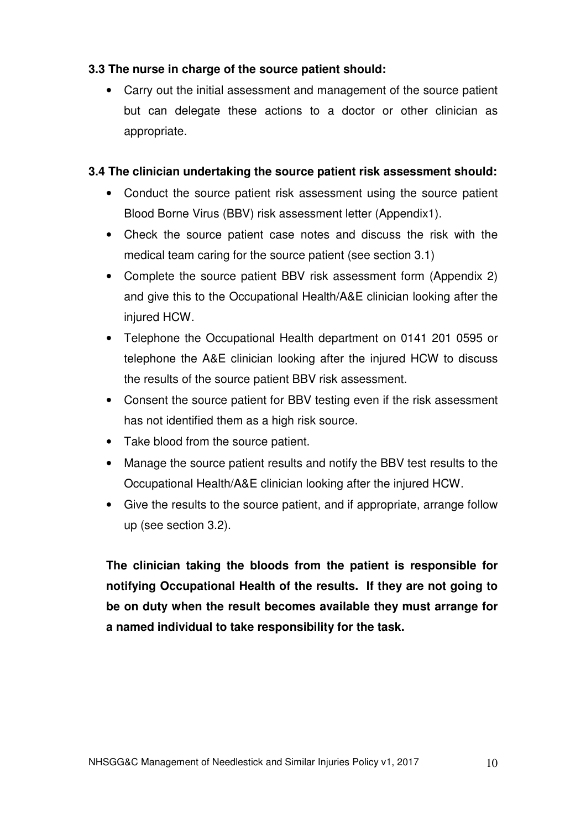## **3.3 The nurse in charge of the source patient should:**

• Carry out the initial assessment and management of the source patient but can delegate these actions to a doctor or other clinician as appropriate.

### **3.4 The clinician undertaking the source patient risk assessment should:**

- Conduct the source patient risk assessment using the source patient Blood Borne Virus (BBV) risk assessment letter (Appendix1).
- Check the source patient case notes and discuss the risk with the medical team caring for the source patient (see section 3.1)
- Complete the source patient BBV risk assessment form (Appendix 2) and give this to the Occupational Health/A&E clinician looking after the injured HCW.
- Telephone the Occupational Health department on 0141 201 0595 or telephone the A&E clinician looking after the injured HCW to discuss the results of the source patient BBV risk assessment.
- Consent the source patient for BBV testing even if the risk assessment has not identified them as a high risk source.
- Take blood from the source patient.
- Manage the source patient results and notify the BBV test results to the Occupational Health/A&E clinician looking after the injured HCW.
- Give the results to the source patient, and if appropriate, arrange follow up (see section 3.2).

**The clinician taking the bloods from the patient is responsible for notifying Occupational Health of the results. If they are not going to be on duty when the result becomes available they must arrange for a named individual to take responsibility for the task.**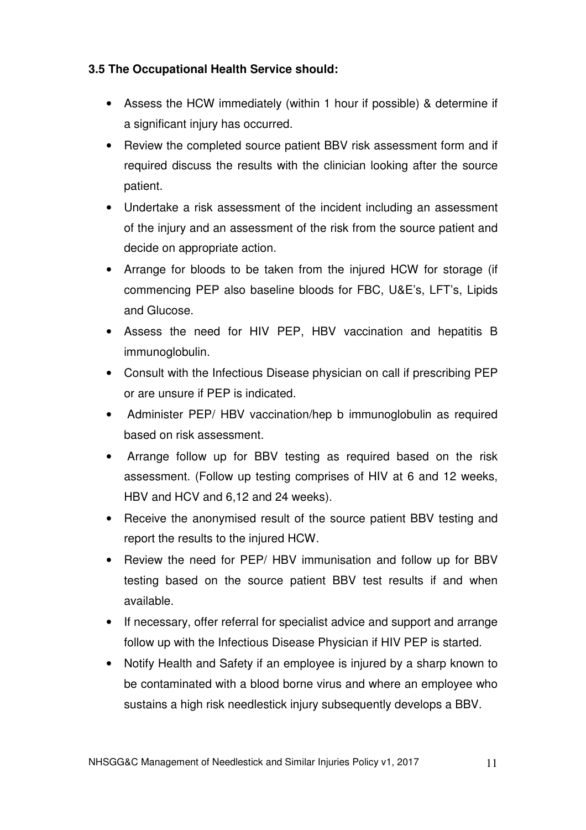# **3.5 The Occupational Health Service should:**

- Assess the HCW immediately (within 1 hour if possible) & determine if a significant injury has occurred.
- Review the completed source patient BBV risk assessment form and if required discuss the results with the clinician looking after the source patient.
- Undertake a risk assessment of the incident including an assessment of the injury and an assessment of the risk from the source patient and decide on appropriate action.
- Arrange for bloods to be taken from the injured HCW for storage (if commencing PEP also baseline bloods for FBC, U&E's, LFT's, Lipids and Glucose.
- Assess the need for HIV PEP, HBV vaccination and hepatitis B immunoglobulin.
- Consult with the Infectious Disease physician on call if prescribing PEP or are unsure if PEP is indicated.
- Administer PEP/ HBV vaccination/hep b immunoglobulin as required based on risk assessment.
- Arrange follow up for BBV testing as required based on the risk assessment. (Follow up testing comprises of HIV at 6 and 12 weeks, HBV and HCV and 6,12 and 24 weeks).
- Receive the anonymised result of the source patient BBV testing and report the results to the injured HCW.
- Review the need for PEP/ HBV immunisation and follow up for BBV testing based on the source patient BBV test results if and when available.
- If necessary, offer referral for specialist advice and support and arrange follow up with the Infectious Disease Physician if HIV PEP is started.
- Notify Health and Safety if an employee is injured by a sharp known to be contaminated with a blood borne virus and where an employee who sustains a high risk needlestick injury subsequently develops a BBV.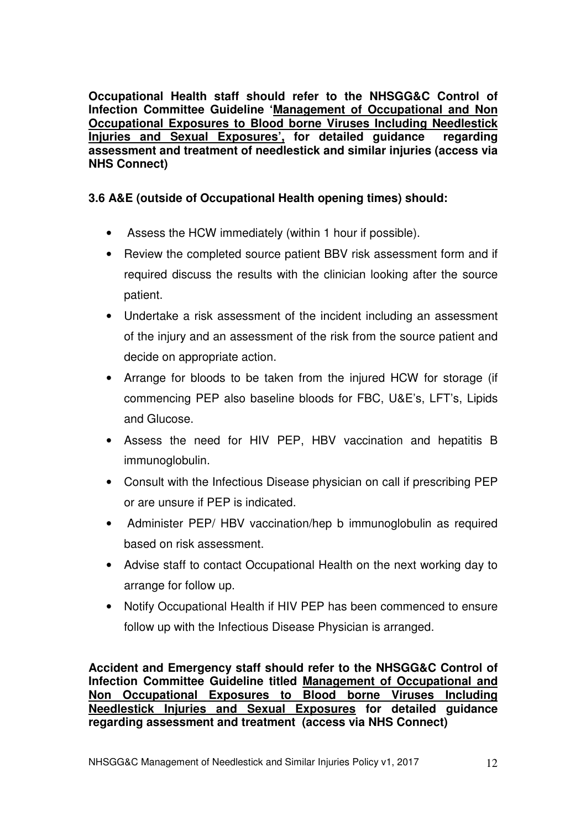**Occupational Health staff should refer to the NHSGG&C Control of Infection Committee Guideline 'Management of Occupational and Non Occupational Exposures to Blood borne Viruses Including Needlestick Injuries and Sexual Exposures', for detailed guidance regarding assessment and treatment of needlestick and similar injuries (access via NHS Connect)** 

### **3.6 A&E (outside of Occupational Health opening times) should:**

- Assess the HCW immediately (within 1 hour if possible).
- Review the completed source patient BBV risk assessment form and if required discuss the results with the clinician looking after the source patient.
- Undertake a risk assessment of the incident including an assessment of the injury and an assessment of the risk from the source patient and decide on appropriate action.
- Arrange for bloods to be taken from the injured HCW for storage (if commencing PEP also baseline bloods for FBC, U&E's, LFT's, Lipids and Glucose.
- Assess the need for HIV PEP, HBV vaccination and hepatitis B immunoglobulin.
- Consult with the Infectious Disease physician on call if prescribing PEP or are unsure if PEP is indicated.
- Administer PEP/ HBV vaccination/hep b immunoglobulin as required based on risk assessment.
- Advise staff to contact Occupational Health on the next working day to arrange for follow up.
- Notify Occupational Health if HIV PEP has been commenced to ensure follow up with the Infectious Disease Physician is arranged.

**Accident and Emergency staff should refer to the NHSGG&C Control of Infection Committee Guideline titled Management of Occupational and Non Occupational Exposures to Blood borne Viruses Including Needlestick Injuries and Sexual Exposures for detailed guidance regarding assessment and treatment (access via NHS Connect)**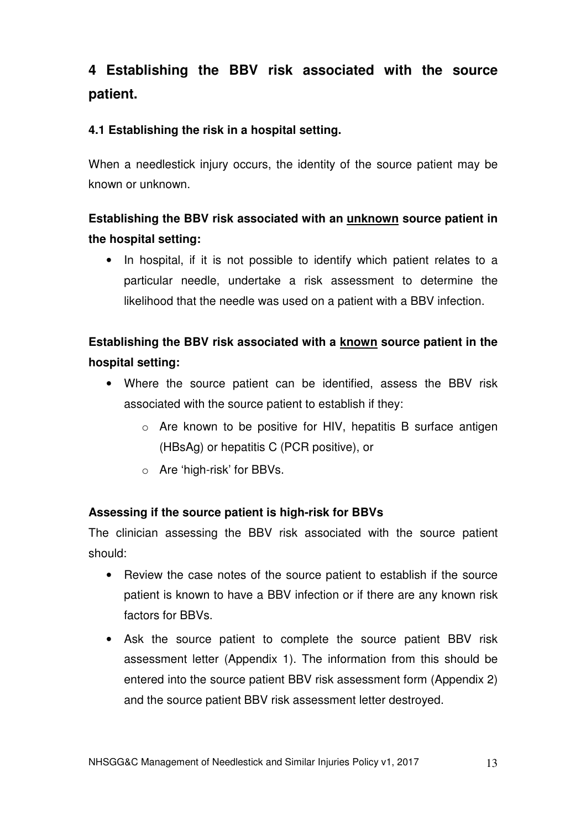# **4 Establishing the BBV risk associated with the source patient.**

## **4.1 Establishing the risk in a hospital setting.**

When a needlestick injury occurs, the identity of the source patient may be known or unknown.

# **Establishing the BBV risk associated with an unknown source patient in the hospital setting:**

• In hospital, if it is not possible to identify which patient relates to a particular needle, undertake a risk assessment to determine the likelihood that the needle was used on a patient with a BBV infection.

# **Establishing the BBV risk associated with a known source patient in the hospital setting:**

- Where the source patient can be identified, assess the BBV risk associated with the source patient to establish if they:
	- o Are known to be positive for HIV, hepatitis B surface antigen (HBsAg) or hepatitis C (PCR positive), or
	- o Are 'high-risk' for BBVs.

#### **Assessing if the source patient is high-risk for BBVs**

The clinician assessing the BBV risk associated with the source patient should:

- Review the case notes of the source patient to establish if the source patient is known to have a BBV infection or if there are any known risk factors for BBVs.
- Ask the source patient to complete the source patient BBV risk assessment letter (Appendix 1). The information from this should be entered into the source patient BBV risk assessment form (Appendix 2) and the source patient BBV risk assessment letter destroyed.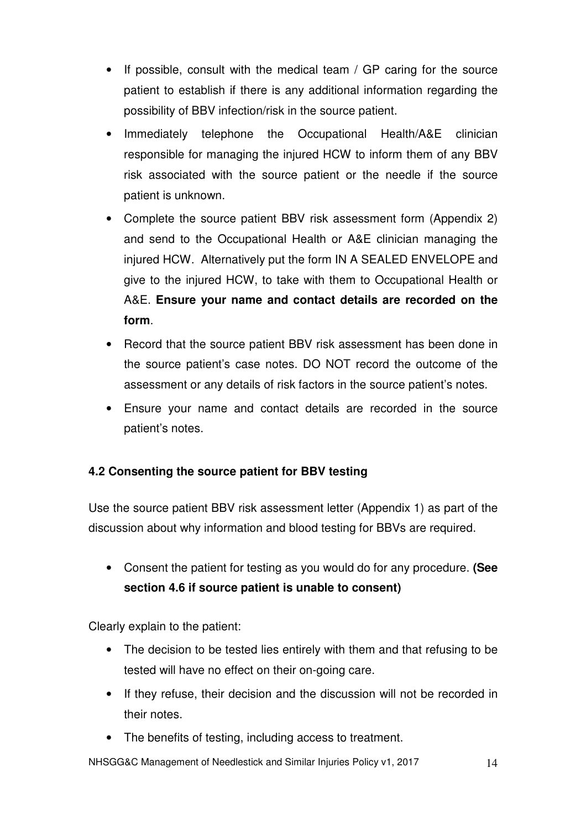- If possible, consult with the medical team  $/$  GP caring for the source patient to establish if there is any additional information regarding the possibility of BBV infection/risk in the source patient.
- Immediately telephone the Occupational Health/A&E clinician responsible for managing the injured HCW to inform them of any BBV risk associated with the source patient or the needle if the source patient is unknown.
- Complete the source patient BBV risk assessment form (Appendix 2) and send to the Occupational Health or A&E clinician managing the injured HCW. Alternatively put the form IN A SEALED ENVELOPE and give to the injured HCW, to take with them to Occupational Health or A&E. **Ensure your name and contact details are recorded on the form**.
- Record that the source patient BBV risk assessment has been done in the source patient's case notes. DO NOT record the outcome of the assessment or any details of risk factors in the source patient's notes.
- Ensure your name and contact details are recorded in the source patient's notes.

# **4.2 Consenting the source patient for BBV testing**

Use the source patient BBV risk assessment letter (Appendix 1) as part of the discussion about why information and blood testing for BBVs are required.

• Consent the patient for testing as you would do for any procedure. **(See section 4.6 if source patient is unable to consent)**

Clearly explain to the patient:

- The decision to be tested lies entirely with them and that refusing to be tested will have no effect on their on-going care.
- If they refuse, their decision and the discussion will not be recorded in their notes.
- The benefits of testing, including access to treatment.

NHSGG&C Management of Needlestick and Similar Injuries Policy v1, 2017 14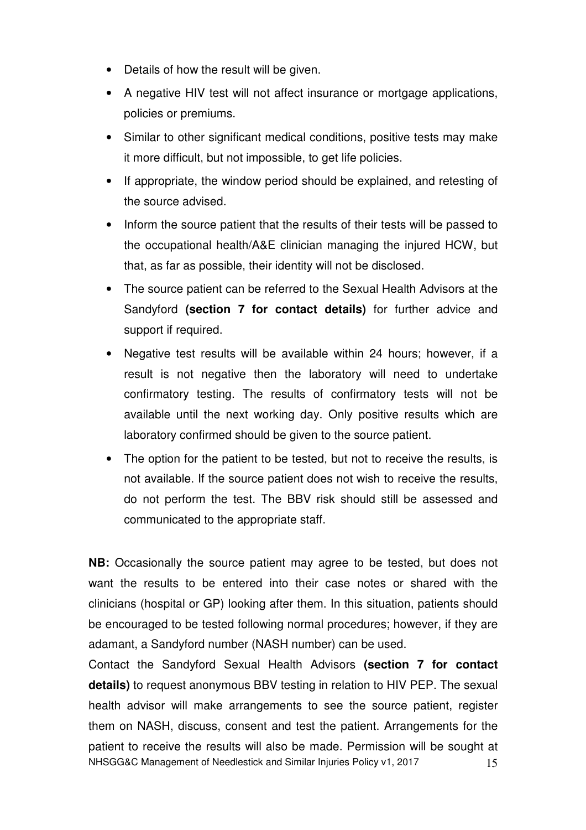- Details of how the result will be given.
- A negative HIV test will not affect insurance or mortgage applications, policies or premiums.
- Similar to other significant medical conditions, positive tests may make it more difficult, but not impossible, to get life policies.
- If appropriate, the window period should be explained, and retesting of the source advised.
- Inform the source patient that the results of their tests will be passed to the occupational health/A&E clinician managing the injured HCW, but that, as far as possible, their identity will not be disclosed.
- The source patient can be referred to the Sexual Health Advisors at the Sandyford **(section 7 for contact details)** for further advice and support if required.
- Negative test results will be available within 24 hours; however, if a result is not negative then the laboratory will need to undertake confirmatory testing. The results of confirmatory tests will not be available until the next working day. Only positive results which are laboratory confirmed should be given to the source patient.
- The option for the patient to be tested, but not to receive the results, is not available. If the source patient does not wish to receive the results, do not perform the test. The BBV risk should still be assessed and communicated to the appropriate staff.

**NB:** Occasionally the source patient may agree to be tested, but does not want the results to be entered into their case notes or shared with the clinicians (hospital or GP) looking after them. In this situation, patients should be encouraged to be tested following normal procedures; however, if they are adamant, a Sandyford number (NASH number) can be used.

NHSGG&C Management of Needlestick and Similar Injuries Policy v1, 2017 15 Contact the Sandyford Sexual Health Advisors **(section 7 for contact details)** to request anonymous BBV testing in relation to HIV PEP. The sexual health advisor will make arrangements to see the source patient, register them on NASH, discuss, consent and test the patient. Arrangements for the patient to receive the results will also be made. Permission will be sought at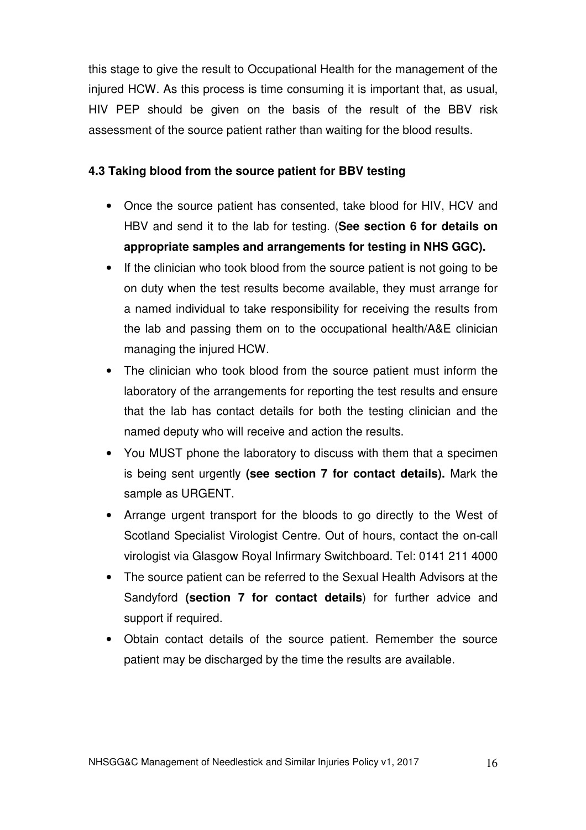this stage to give the result to Occupational Health for the management of the injured HCW. As this process is time consuming it is important that, as usual, HIV PEP should be given on the basis of the result of the BBV risk assessment of the source patient rather than waiting for the blood results.

### **4.3 Taking blood from the source patient for BBV testing**

- Once the source patient has consented, take blood for HIV, HCV and HBV and send it to the lab for testing. (**See section 6 for details on appropriate samples and arrangements for testing in NHS GGC).**
- If the clinician who took blood from the source patient is not going to be on duty when the test results become available, they must arrange for a named individual to take responsibility for receiving the results from the lab and passing them on to the occupational health/A&E clinician managing the injured HCW.
- The clinician who took blood from the source patient must inform the laboratory of the arrangements for reporting the test results and ensure that the lab has contact details for both the testing clinician and the named deputy who will receive and action the results.
- You MUST phone the laboratory to discuss with them that a specimen is being sent urgently **(see section 7 for contact details).** Mark the sample as URGENT.
- Arrange urgent transport for the bloods to go directly to the West of Scotland Specialist Virologist Centre. Out of hours, contact the on-call virologist via Glasgow Royal Infirmary Switchboard. Tel: 0141 211 4000
- The source patient can be referred to the Sexual Health Advisors at the Sandyford **(section 7 for contact details**) for further advice and support if required.
- Obtain contact details of the source patient. Remember the source patient may be discharged by the time the results are available.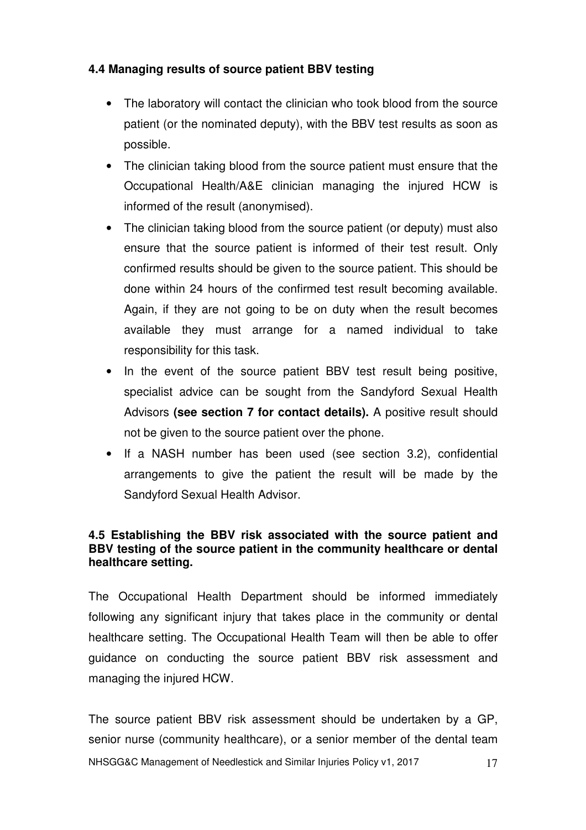# **4.4 Managing results of source patient BBV testing**

- The laboratory will contact the clinician who took blood from the source patient (or the nominated deputy), with the BBV test results as soon as possible.
- The clinician taking blood from the source patient must ensure that the Occupational Health/A&E clinician managing the injured HCW is informed of the result (anonymised).
- The clinician taking blood from the source patient (or deputy) must also ensure that the source patient is informed of their test result. Only confirmed results should be given to the source patient. This should be done within 24 hours of the confirmed test result becoming available. Again, if they are not going to be on duty when the result becomes available they must arrange for a named individual to take responsibility for this task.
- In the event of the source patient BBV test result being positive, specialist advice can be sought from the Sandyford Sexual Health Advisors **(see section 7 for contact details).** A positive result should not be given to the source patient over the phone.
- If a NASH number has been used (see section 3.2), confidential arrangements to give the patient the result will be made by the Sandyford Sexual Health Advisor.

#### **4.5 Establishing the BBV risk associated with the source patient and BBV testing of the source patient in the community healthcare or dental healthcare setting.**

The Occupational Health Department should be informed immediately following any significant injury that takes place in the community or dental healthcare setting. The Occupational Health Team will then be able to offer guidance on conducting the source patient BBV risk assessment and managing the injured HCW.

NHSGG&C Management of Needlestick and Similar Injuries Policy v1, 2017 17 The source patient BBV risk assessment should be undertaken by a GP, senior nurse (community healthcare), or a senior member of the dental team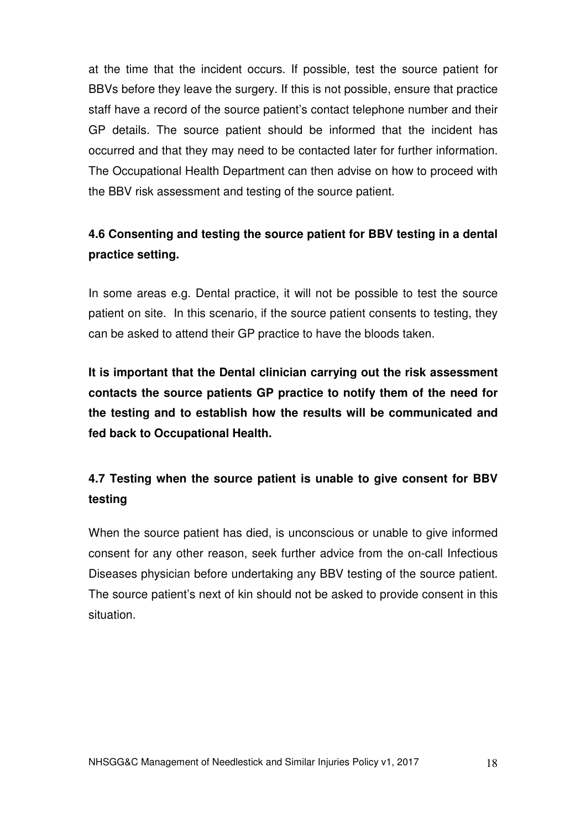at the time that the incident occurs. If possible, test the source patient for BBVs before they leave the surgery. If this is not possible, ensure that practice staff have a record of the source patient's contact telephone number and their GP details. The source patient should be informed that the incident has occurred and that they may need to be contacted later for further information. The Occupational Health Department can then advise on how to proceed with the BBV risk assessment and testing of the source patient.

# **4.6 Consenting and testing the source patient for BBV testing in a dental practice setting.**

In some areas e.g. Dental practice, it will not be possible to test the source patient on site. In this scenario, if the source patient consents to testing, they can be asked to attend their GP practice to have the bloods taken.

**It is important that the Dental clinician carrying out the risk assessment contacts the source patients GP practice to notify them of the need for the testing and to establish how the results will be communicated and fed back to Occupational Health.** 

# **4.7 Testing when the source patient is unable to give consent for BBV testing**

When the source patient has died, is unconscious or unable to give informed consent for any other reason, seek further advice from the on-call Infectious Diseases physician before undertaking any BBV testing of the source patient. The source patient's next of kin should not be asked to provide consent in this situation.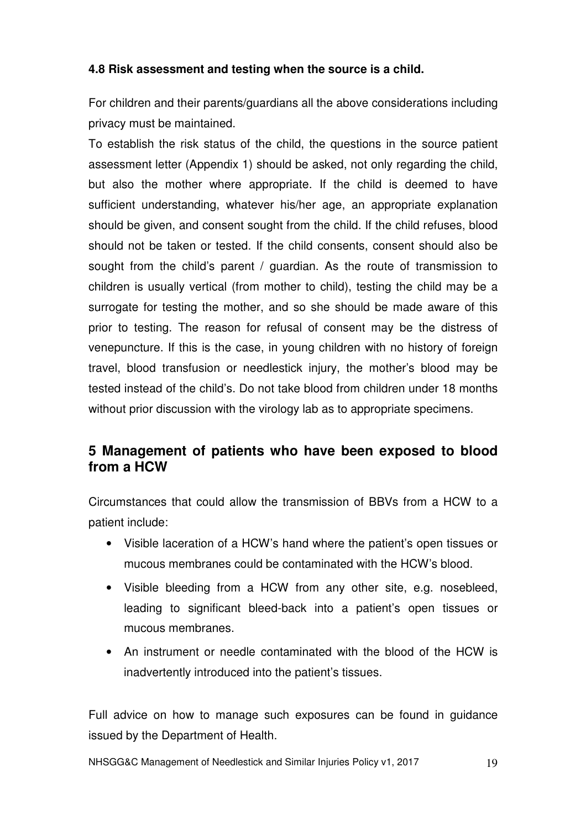## **4.8 Risk assessment and testing when the source is a child.**

For children and their parents/guardians all the above considerations including privacy must be maintained.

To establish the risk status of the child, the questions in the source patient assessment letter (Appendix 1) should be asked, not only regarding the child, but also the mother where appropriate. If the child is deemed to have sufficient understanding, whatever his/her age, an appropriate explanation should be given, and consent sought from the child. If the child refuses, blood should not be taken or tested. If the child consents, consent should also be sought from the child's parent / guardian. As the route of transmission to children is usually vertical (from mother to child), testing the child may be a surrogate for testing the mother, and so she should be made aware of this prior to testing. The reason for refusal of consent may be the distress of venepuncture. If this is the case, in young children with no history of foreign travel, blood transfusion or needlestick injury, the mother's blood may be tested instead of the child's. Do not take blood from children under 18 months without prior discussion with the virology lab as to appropriate specimens.

# **5 Management of patients who have been exposed to blood from a HCW**

Circumstances that could allow the transmission of BBVs from a HCW to a patient include:

- Visible laceration of a HCW's hand where the patient's open tissues or mucous membranes could be contaminated with the HCW's blood.
- Visible bleeding from a HCW from any other site, e.g. nosebleed, leading to significant bleed-back into a patient's open tissues or mucous membranes.
- An instrument or needle contaminated with the blood of the HCW is inadvertently introduced into the patient's tissues.

Full advice on how to manage such exposures can be found in guidance issued by the Department of Health.

NHSGG&C Management of Needlestick and Similar Injuries Policy v1, 2017 19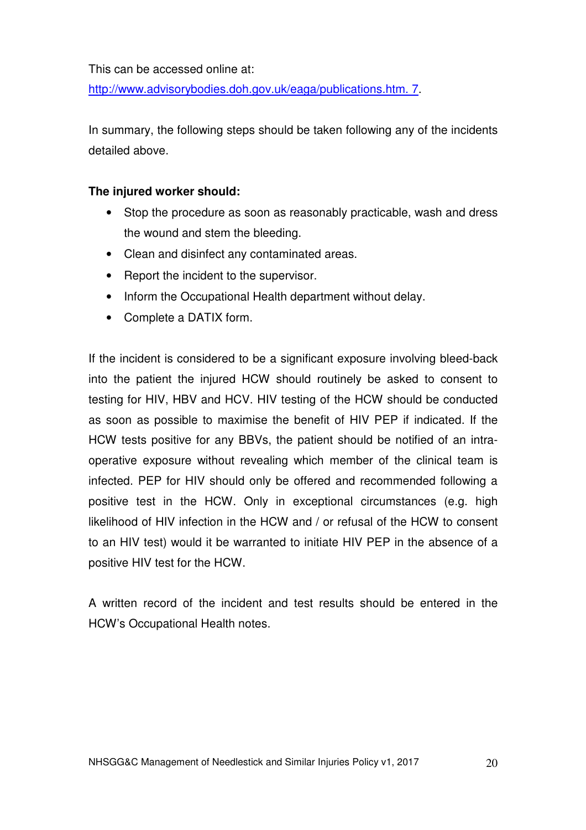This can be accessed online at:

http://www.advisorybodies.doh.gov.uk/eaga/publications.htm. 7.

In summary, the following steps should be taken following any of the incidents detailed above.

#### **The injured worker should:**

- Stop the procedure as soon as reasonably practicable, wash and dress the wound and stem the bleeding.
- Clean and disinfect any contaminated areas.
- Report the incident to the supervisor.
- Inform the Occupational Health department without delay.
- Complete a DATIX form.

If the incident is considered to be a significant exposure involving bleed-back into the patient the injured HCW should routinely be asked to consent to testing for HIV, HBV and HCV. HIV testing of the HCW should be conducted as soon as possible to maximise the benefit of HIV PEP if indicated. If the HCW tests positive for any BBVs, the patient should be notified of an intraoperative exposure without revealing which member of the clinical team is infected. PEP for HIV should only be offered and recommended following a positive test in the HCW. Only in exceptional circumstances (e.g. high likelihood of HIV infection in the HCW and / or refusal of the HCW to consent to an HIV test) would it be warranted to initiate HIV PEP in the absence of a positive HIV test for the HCW.

A written record of the incident and test results should be entered in the HCW's Occupational Health notes.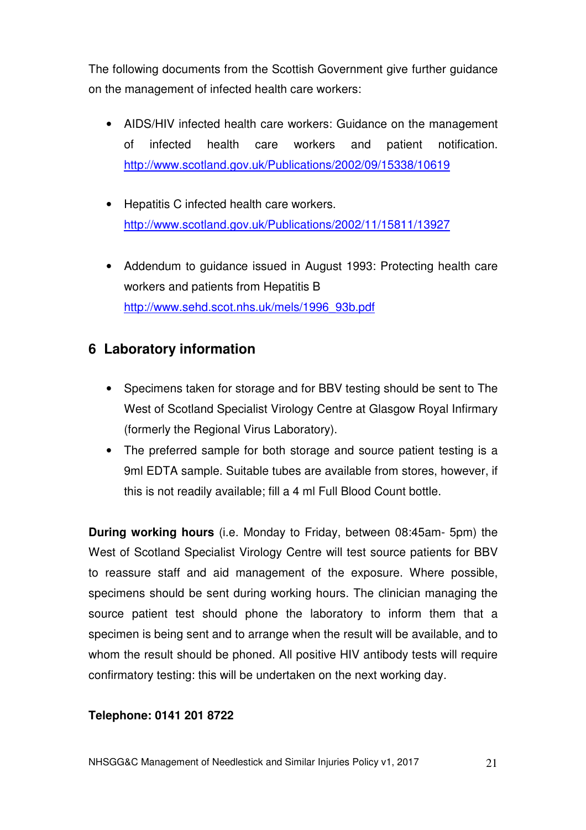The following documents from the Scottish Government give further guidance on the management of infected health care workers:

- AIDS/HIV infected health care workers: Guidance on the management of infected health care workers and patient notification. http://www.scotland.gov.uk/Publications/2002/09/15338/10619
- Hepatitis C infected health care workers. http://www.scotland.gov.uk/Publications/2002/11/15811/13927
- Addendum to guidance issued in August 1993: Protecting health care workers and patients from Hepatitis B http://www.sehd.scot.nhs.uk/mels/1996\_93b.pdf

# **6 Laboratory information**

- Specimens taken for storage and for BBV testing should be sent to The West of Scotland Specialist Virology Centre at Glasgow Royal Infirmary (formerly the Regional Virus Laboratory).
- The preferred sample for both storage and source patient testing is a 9ml EDTA sample. Suitable tubes are available from stores, however, if this is not readily available; fill a 4 ml Full Blood Count bottle.

**During working hours** (i.e. Monday to Friday, between 08:45am- 5pm) the West of Scotland Specialist Virology Centre will test source patients for BBV to reassure staff and aid management of the exposure. Where possible, specimens should be sent during working hours. The clinician managing the source patient test should phone the laboratory to inform them that a specimen is being sent and to arrange when the result will be available, and to whom the result should be phoned. All positive HIV antibody tests will require confirmatory testing: this will be undertaken on the next working day.

#### **Telephone: 0141 201 8722**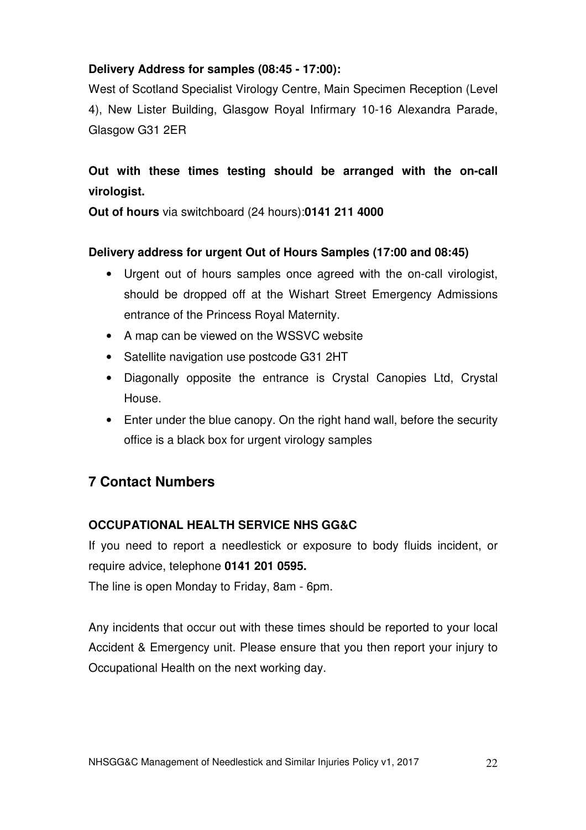# **Delivery Address for samples (08:45 - 17:00):**

West of Scotland Specialist Virology Centre, Main Specimen Reception (Level 4), New Lister Building, Glasgow Royal Infirmary 10-16 Alexandra Parade, Glasgow G31 2ER

# **Out with these times testing should be arranged with the on-call virologist.**

**Out of hours** via switchboard (24 hours):**0141 211 4000** 

# **Delivery address for urgent Out of Hours Samples (17:00 and 08:45)**

- Urgent out of hours samples once agreed with the on-call virologist, should be dropped off at the Wishart Street Emergency Admissions entrance of the Princess Royal Maternity.
- A map can be viewed on the WSSVC website
- Satellite navigation use postcode G31 2HT
- Diagonally opposite the entrance is Crystal Canopies Ltd, Crystal House.
- Enter under the blue canopy. On the right hand wall, before the security office is a black box for urgent virology samples

# **7 Contact Numbers**

# **OCCUPATIONAL HEALTH SERVICE NHS GG&C**

If you need to report a needlestick or exposure to body fluids incident, or require advice, telephone **0141 201 0595.** 

The line is open Monday to Friday, 8am - 6pm.

Any incidents that occur out with these times should be reported to your local Accident & Emergency unit. Please ensure that you then report your injury to Occupational Health on the next working day.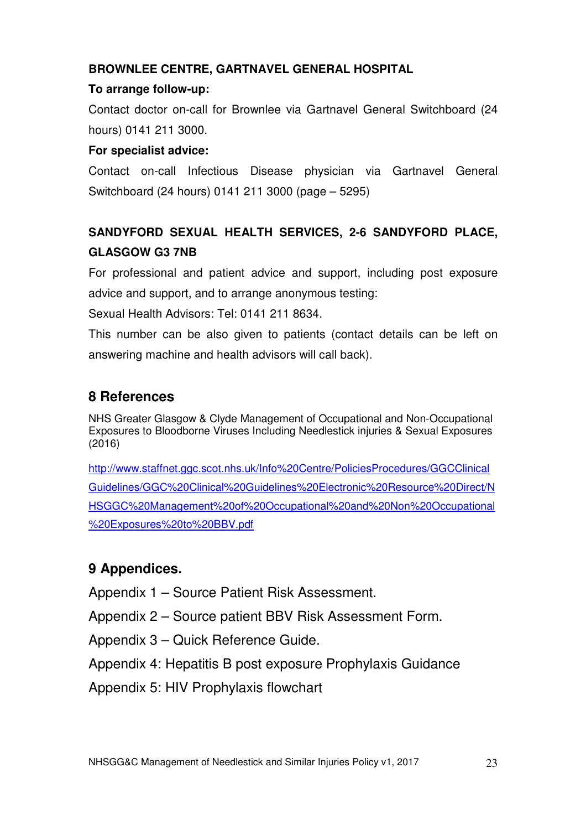# **BROWNLEE CENTRE, GARTNAVEL GENERAL HOSPITAL**

## **To arrange follow-up:**

Contact doctor on-call for Brownlee via Gartnavel General Switchboard (24 hours) 0141 211 3000.

## **For specialist advice:**

Contact on-call Infectious Disease physician via Gartnavel General Switchboard (24 hours) 0141 211 3000 (page – 5295)

# **SANDYFORD SEXUAL HEALTH SERVICES, 2-6 SANDYFORD PLACE, GLASGOW G3 7NB**

For professional and patient advice and support, including post exposure advice and support, and to arrange anonymous testing:

Sexual Health Advisors: Tel: 0141 211 8634.

This number can be also given to patients (contact details can be left on answering machine and health advisors will call back).

# **8 References**

NHS Greater Glasgow & Clyde Management of Occupational and Non-Occupational Exposures to Bloodborne Viruses Including Needlestick injuries & Sexual Exposures (2016)

http://www.staffnet.ggc.scot.nhs.uk/Info%20Centre/PoliciesProcedures/GGCClinical Guidelines/GGC%20Clinical%20Guidelines%20Electronic%20Resource%20Direct/N HSGGC%20Management%20of%20Occupational%20and%20Non%20Occupational %20Exposures%20to%20BBV.pdf

# **9 Appendices.**

Appendix 1 – Source Patient Risk Assessment.

Appendix 2 – Source patient BBV Risk Assessment Form.

Appendix 3 – Quick Reference Guide.

Appendix 4: Hepatitis B post exposure Prophylaxis Guidance

Appendix 5: HIV Prophylaxis flowchart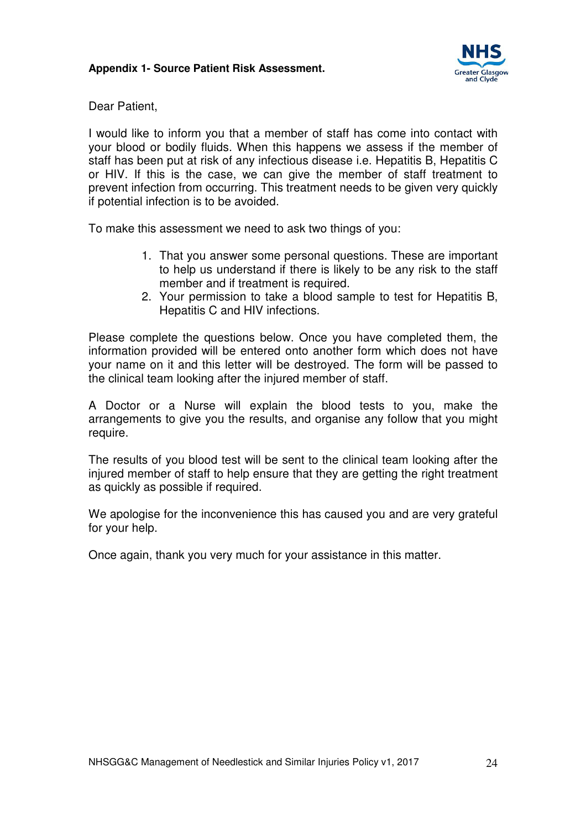

Dear Patient,

I would like to inform you that a member of staff has come into contact with your blood or bodily fluids. When this happens we assess if the member of staff has been put at risk of any infectious disease i.e. Hepatitis B, Hepatitis C or HIV. If this is the case, we can give the member of staff treatment to prevent infection from occurring. This treatment needs to be given very quickly if potential infection is to be avoided.

To make this assessment we need to ask two things of you:

- 1. That you answer some personal questions. These are important to help us understand if there is likely to be any risk to the staff member and if treatment is required.
- 2. Your permission to take a blood sample to test for Hepatitis B, Hepatitis C and HIV infections.

Please complete the questions below. Once you have completed them, the information provided will be entered onto another form which does not have your name on it and this letter will be destroyed. The form will be passed to the clinical team looking after the injured member of staff.

A Doctor or a Nurse will explain the blood tests to you, make the arrangements to give you the results, and organise any follow that you might require.

The results of you blood test will be sent to the clinical team looking after the injured member of staff to help ensure that they are getting the right treatment as quickly as possible if required.

We apologise for the inconvenience this has caused you and are very grateful for your help.

Once again, thank you very much for your assistance in this matter.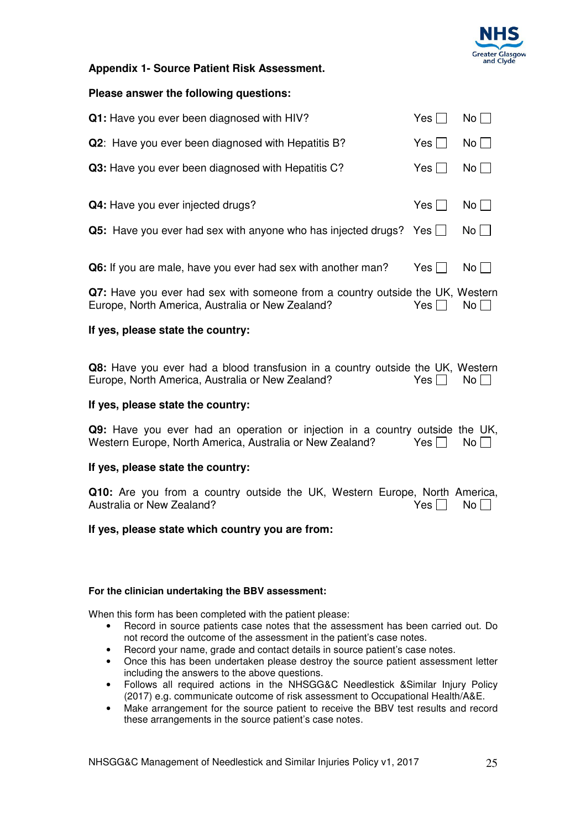

#### **Appendix 1- Source Patient Risk Assessment.**

#### **Please answer the following questions:**

| Q1: Have you ever been diagnosed with HIV?                                      | Yes $\Box$ | $No \Box$   |
|---------------------------------------------------------------------------------|------------|-------------|
| <b>Q2:</b> Have you ever been diagnosed with Hepatitis B?                       | Yes I      | $No$        |
| Q3: Have you ever been diagnosed with Hepatitis C?                              | Yes $\Box$ | $No \Box$   |
|                                                                                 |            |             |
| Q4: Have you ever injected drugs?                                               | Yes $\Box$ | $No \Box$   |
| <b>Q5:</b> Have you ever had sex with anyone who has injected drugs? Yes $\Box$ |            | $No$ $\Box$ |
|                                                                                 |            |             |
| Q6: If you are male, have you ever had sex with another man?                    | Yes I      | $No$        |
|                                                                                 |            |             |

**Q7:** Have you ever had sex with someone from a country outside the UK, Western Europe, North America, Australia or New Zealand?  $Yes \Box \text{ No } \Box$ 

#### **If yes, please state the country:**

**Q8:** Have you ever had a blood transfusion in a country outside the UK, Western Europe. North America. Australia or New Zealand? Yes Europe, North America, Australia or New Zealand?

#### **If yes, please state the country:**

**Q9:** Have you ever had an operation or injection in a country outside the UK, Western Europe, North America, Australia or New Zealand? Yes  $\Box$  No  $\Box$ 

#### **If yes, please state the country:**

**Q10:** Are you from a country outside the UK, Western Europe, North America, Australia or New Zealand? Australia or New Zealand?

#### **If yes, please state which country you are from:**

#### **For the clinician undertaking the BBV assessment:**

When this form has been completed with the patient please:

- Record in source patients case notes that the assessment has been carried out. Do not record the outcome of the assessment in the patient's case notes.
- Record your name, grade and contact details in source patient's case notes.
- Once this has been undertaken please destroy the source patient assessment letter including the answers to the above questions.
- Follows all required actions in the NHSGG&C Needlestick &Similar Injury Policy (2017) e.g. communicate outcome of risk assessment to Occupational Health/A&E.
- Make arrangement for the source patient to receive the BBV test results and record these arrangements in the source patient's case notes.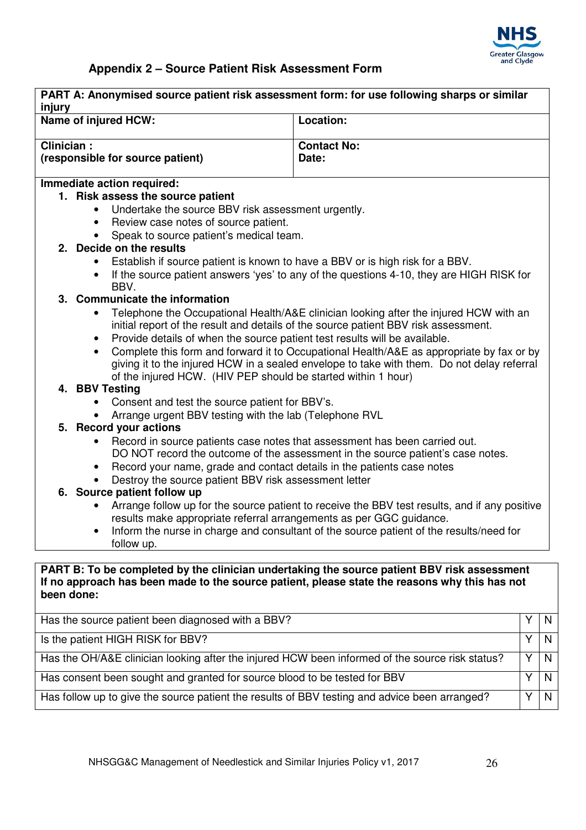

# **Appendix 2 – Source Patient Risk Assessment Form**

| injury                            | PART A: Anonymised source patient risk assessment form: for use following sharps or similar     |                                                                                               |   |   |
|-----------------------------------|-------------------------------------------------------------------------------------------------|-----------------------------------------------------------------------------------------------|---|---|
| Location:<br>Name of injured HCW: |                                                                                                 |                                                                                               |   |   |
| Clinician:                        |                                                                                                 | <b>Contact No:</b>                                                                            |   |   |
|                                   | (responsible for source patient)<br>Date:                                                       |                                                                                               |   |   |
|                                   | Immediate action required:                                                                      |                                                                                               |   |   |
|                                   | 1. Risk assess the source patient                                                               |                                                                                               |   |   |
|                                   | Undertake the source BBV risk assessment urgently.                                              |                                                                                               |   |   |
|                                   | Review case notes of source patient.<br>$\bullet$                                               |                                                                                               |   |   |
|                                   | Speak to source patient's medical team.<br>2. Decide on the results                             |                                                                                               |   |   |
|                                   | Establish if source patient is known to have a BBV or is high risk for a BBV.                   |                                                                                               |   |   |
|                                   |                                                                                                 | If the source patient answers 'yes' to any of the questions 4-10, they are HIGH RISK for      |   |   |
|                                   | BBV.                                                                                            |                                                                                               |   |   |
|                                   | 3. Communicate the information                                                                  |                                                                                               |   |   |
|                                   |                                                                                                 | Telephone the Occupational Health/A&E clinician looking after the injured HCW with an         |   |   |
|                                   |                                                                                                 | initial report of the result and details of the source patient BBV risk assessment.           |   |   |
|                                   | Provide details of when the source patient test results will be available.                      |                                                                                               |   |   |
|                                   |                                                                                                 | Complete this form and forward it to Occupational Health/A&E as appropriate by fax or by      |   |   |
|                                   |                                                                                                 | giving it to the injured HCW in a sealed envelope to take with them. Do not delay referral    |   |   |
|                                   | of the injured HCW. (HIV PEP should be started within 1 hour)<br>4. BBV Testing                 |                                                                                               |   |   |
|                                   | Consent and test the source patient for BBV's.                                                  |                                                                                               |   |   |
|                                   | Arrange urgent BBV testing with the lab (Telephone RVL                                          |                                                                                               |   |   |
|                                   | 5. Record your actions                                                                          |                                                                                               |   |   |
|                                   | Record in source patients case notes that assessment has been carried out.                      |                                                                                               |   |   |
|                                   |                                                                                                 | DO NOT record the outcome of the assessment in the source patient's case notes.               |   |   |
|                                   | Record your name, grade and contact details in the patients case notes<br>$\bullet$             |                                                                                               |   |   |
|                                   | Destroy the source patient BBV risk assessment letter                                           |                                                                                               |   |   |
|                                   | 6. Source patient follow up                                                                     |                                                                                               |   |   |
|                                   |                                                                                                 | Arrange follow up for the source patient to receive the BBV test results, and if any positive |   |   |
|                                   | results make appropriate referral arrangements as per GGC guidance.                             |                                                                                               |   |   |
|                                   |                                                                                                 | Inform the nurse in charge and consultant of the source patient of the results/need for       |   |   |
|                                   | follow up.                                                                                      |                                                                                               |   |   |
|                                   | PART B: To be completed by the clinician undertaking the source patient BBV risk assessment     |                                                                                               |   |   |
|                                   | If no approach has been made to the source patient, please state the reasons why this has not   |                                                                                               |   |   |
| been done:                        |                                                                                                 |                                                                                               |   |   |
|                                   |                                                                                                 |                                                                                               |   |   |
|                                   | Has the source patient been diagnosed with a BBV?                                               |                                                                                               | Υ | N |
|                                   | Is the patient HIGH RISK for BBV?<br>Y                                                          |                                                                                               |   | N |
|                                   | Has the OH/A&E clinician looking after the injured HCW been informed of the source risk status? |                                                                                               | Y | N |
|                                   | Has consent been sought and granted for source blood to be tested for BBV                       |                                                                                               | Y | N |

Has follow up to give the source patient the results of BBV testing and advice been arranged? Y N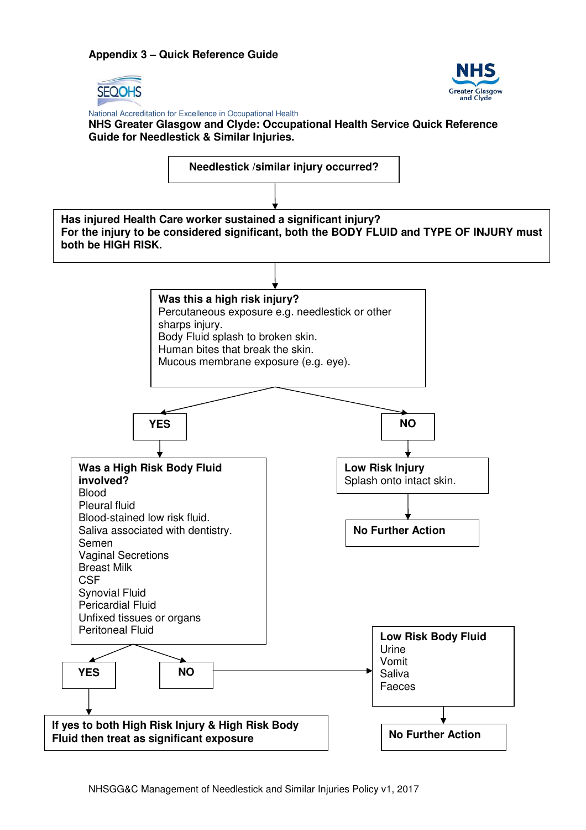#### **Appendix 3 – Quick Reference Guide**





 National Accreditation for Excellence in Occupational Health **NHS Greater Glasgow and Clyde: Occupational Health Service Quick Reference Guide for Needlestick & Similar Injuries.** 

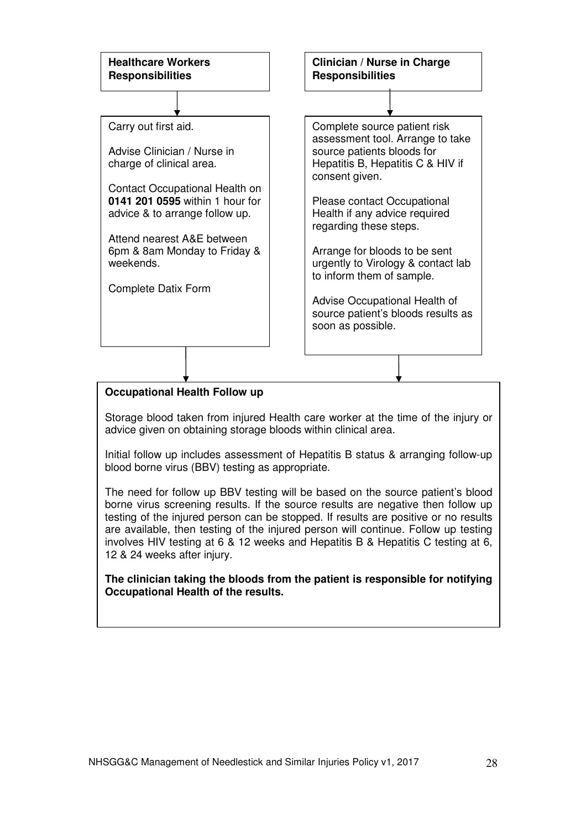

Storage blood taken from injured Health care worker at the time of the injury or advice given on obtaining storage bloods within clinical area.

Initial follow up includes assessment of Hepatitis B status & arranging follow-up blood borne virus (BBV) testing as appropriate.

The need for follow up BBV testing will be based on the source patient's blood borne virus screening results. If the source results are negative then follow up testing of the injured person can be stopped. If results are positive or no results are available, then testing of the injured person will continue. Follow up testing involves HIV testing at 6 & 12 weeks and Hepatitis B & Hepatitis C testing at 6, 12 & 24 weeks after injury.

**The clinician taking the bloods from the patient is responsible for notifying Occupational Health of the results.**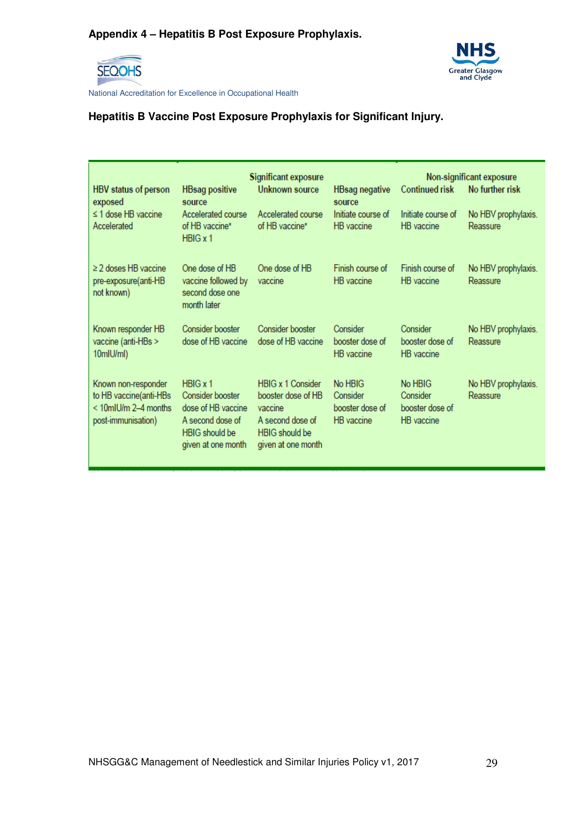

 National Accreditation for Excellence in Occupational Health

# **Hepatitis B Vaccine Post Exposure Prophylaxis for Significant Injury.**

| HBV status of person<br>exposed                                                             | <b>HBsag positive</b><br>source                                                                                        | <b>Significant exposure</b><br>Unknown source                                                                                | <b>HBsag negative</b><br>source                             | Non-significant exposure<br><b>Continued risk</b><br>No further risk |                                 |  |
|---------------------------------------------------------------------------------------------|------------------------------------------------------------------------------------------------------------------------|------------------------------------------------------------------------------------------------------------------------------|-------------------------------------------------------------|----------------------------------------------------------------------|---------------------------------|--|
| $\leq$ 1 dose HB vaccine<br>Accelerated                                                     | Accelerated course<br>of HB vaccine*<br>$H BIG \times 1$                                                               | Accelerated course<br>of HB vaccine*                                                                                         | Initiate course of<br><b>HB</b> vaccine                     | Initiate course of<br><b>HB</b> vaccine                              | No HBV prophylaxis.<br>Reassure |  |
| $\geq$ 2 doses HB vaccine<br>pre-exposure(anti-HB<br>not known)                             | One dose of HB<br>vaccine followed by<br>second dose one<br>month later                                                | One dose of HB<br>vaccine                                                                                                    | Finish course of<br><b>HB</b> vaccine                       | Finish course of<br>HB vaccine                                       | No HBV prophylaxis.<br>Reassure |  |
| Known responder HB<br>vaccine (anti-HBs ><br>10mlU/ml)                                      | Consider booster<br>dose of HB vaccine                                                                                 | Consider booster<br>dose of HB vaccine                                                                                       | Consider<br>booster dose of<br>HB vaccine                   | Consider<br>booster dose of<br>HB vaccine                            | No HBV prophylaxis.<br>Reassure |  |
| Known non-responder<br>to HB vaccine(anti-HBs<br>< 10mlU/m 2-4 months<br>post-immunisation) | H BIG x 1<br>Consider booster<br>dose of HB vaccine<br>A second dose of<br><b>HBIG</b> should be<br>given at one month | <b>HBIG x 1 Consider</b><br>booster dose of HB<br>vaccine<br>A second dose of<br><b>HBIG</b> should be<br>given at one month | No HBIG<br>Consider<br>booster dose of<br><b>HB</b> vaccine | No HBIG<br>Consider<br>booster dose of<br><b>HB</b> vaccine          | No HBV prophylaxis.<br>Reassure |  |